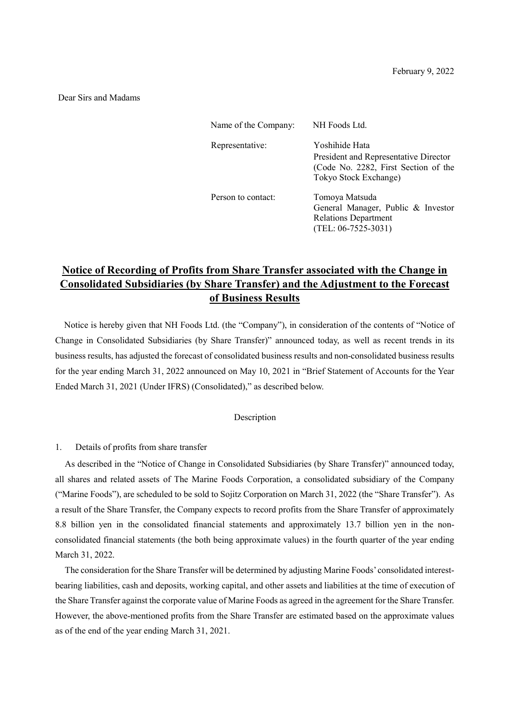## Dear Sirs and Madams

| Name of the Company: | NH Foods Ltd.                                                                                                            |
|----------------------|--------------------------------------------------------------------------------------------------------------------------|
| Representative:      | Yoshihide Hata<br>President and Representative Director<br>(Code No. 2282, First Section of the<br>Tokyo Stock Exchange) |
| Person to contact:   | Tomoya Matsuda<br>General Manager, Public & Investor<br><b>Relations Department</b><br>$(TEL: 06-7525-3031)$             |

## **Notice of Recording of Profits from Share Transfer associated with the Change in Consolidated Subsidiaries (by Share Transfer) and the Adjustment to the Forecast of Business Results**

Notice is hereby given that NH Foods Ltd. (the "Company"), in consideration of the contents of "Notice of Change in Consolidated Subsidiaries (by Share Transfer)" announced today, as well as recent trends in its business results, has adjusted the forecast of consolidated business results and non-consolidated business results for the year ending March 31, 2022 announced on May 10, 2021 in "Brief Statement of Accounts for the Year Ended March 31, 2021 (Under IFRS) (Consolidated)," as described below.

## Description

## 1. Details of profits from share transfer

As described in the "Notice of Change in Consolidated Subsidiaries (by Share Transfer)" announced today, all shares and related assets of The Marine Foods Corporation, a consolidated subsidiary of the Company ("Marine Foods"), are scheduled to be sold to Sojitz Corporation on March 31, 2022 (the "Share Transfer"). As a result of the Share Transfer, the Company expects to record profits from the Share Transfer of approximately 8.8 billion yen in the consolidated financial statements and approximately 13.7 billion yen in the nonconsolidated financial statements (the both being approximate values) in the fourth quarter of the year ending March 31, 2022.

The consideration for the Share Transfer will be determined by adjusting Marine Foods' consolidated interestbearing liabilities, cash and deposits, working capital, and other assets and liabilities at the time of execution of the Share Transfer against the corporate value of Marine Foods as agreed in the agreement for the Share Transfer. However, the above-mentioned profits from the Share Transfer are estimated based on the approximate values as of the end of the year ending March 31, 2021.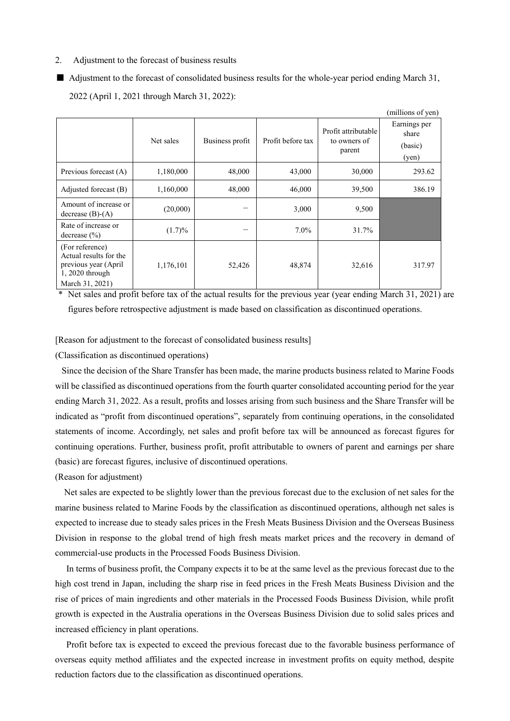- 2. Adjustment to the forecast of business results
- Adjustment to the forecast of consolidated business results for the whole-year period ending March 31, 2022 (April 1, 2021 through March 31, 2022):

|                                                                                                          |           |                 |                   |                                               | (millions of yen)                         |
|----------------------------------------------------------------------------------------------------------|-----------|-----------------|-------------------|-----------------------------------------------|-------------------------------------------|
|                                                                                                          | Net sales | Business profit | Profit before tax | Profit attributable<br>to owners of<br>parent | Earnings per<br>share<br>(basic)<br>(yen) |
| Previous forecast (A)                                                                                    | 1,180,000 | 48,000          | 43,000            | 30,000                                        | 293.62                                    |
| Adjusted forecast (B)                                                                                    | 1,160,000 | 48,000          | 46,000            | 39,500                                        | 386.19                                    |
| Amount of increase or<br>decrease $(B)$ - $(A)$                                                          | (20,000)  |                 | 3,000             | 9,500                                         |                                           |
| Rate of increase or<br>decrease $(\% )$                                                                  | (1.7)%    |                 | $7.0\%$           | 31.7%                                         |                                           |
| (For reference)<br>Actual results for the<br>previous year (April)<br>1, 2020 through<br>March 31, 2021) | 1,176,101 | 52,426          | 48,874            | 32,616                                        | 317.97                                    |

\* Net sales and profit before tax of the actual results for the previous year (year ending March 31, 2021) are figures before retrospective adjustment is made based on classification as discontinued operations.

[Reason for adjustment to the forecast of consolidated business results]

(Classification as discontinued operations)

Since the decision of the Share Transfer has been made, the marine products business related to Marine Foods will be classified as discontinued operations from the fourth quarter consolidated accounting period for the year ending March 31, 2022. As a result, profits and losses arising from such business and the Share Transfer will be indicated as "profit from discontinued operations", separately from continuing operations, in the consolidated statements of income. Accordingly, net sales and profit before tax will be announced as forecast figures for continuing operations. Further, business profit, profit attributable to owners of parent and earnings per share (basic) are forecast figures, inclusive of discontinued operations.

(Reason for adjustment)

Net sales are expected to be slightly lower than the previous forecast due to the exclusion of net sales for the marine business related to Marine Foods by the classification as discontinued operations, although net sales is expected to increase due to steady sales prices in the Fresh Meats Business Division and the Overseas Business Division in response to the global trend of high fresh meats market prices and the recovery in demand of commercial-use products in the Processed Foods Business Division.

In terms of business profit, the Company expects it to be at the same level as the previous forecast due to the high cost trend in Japan, including the sharp rise in feed prices in the Fresh Meats Business Division and the rise of prices of main ingredients and other materials in the Processed Foods Business Division, while profit growth is expected in the Australia operations in the Overseas Business Division due to solid sales prices and increased efficiency in plant operations.

Profit before tax is expected to exceed the previous forecast due to the favorable business performance of overseas equity method affiliates and the expected increase in investment profits on equity method, despite reduction factors due to the classification as discontinued operations.